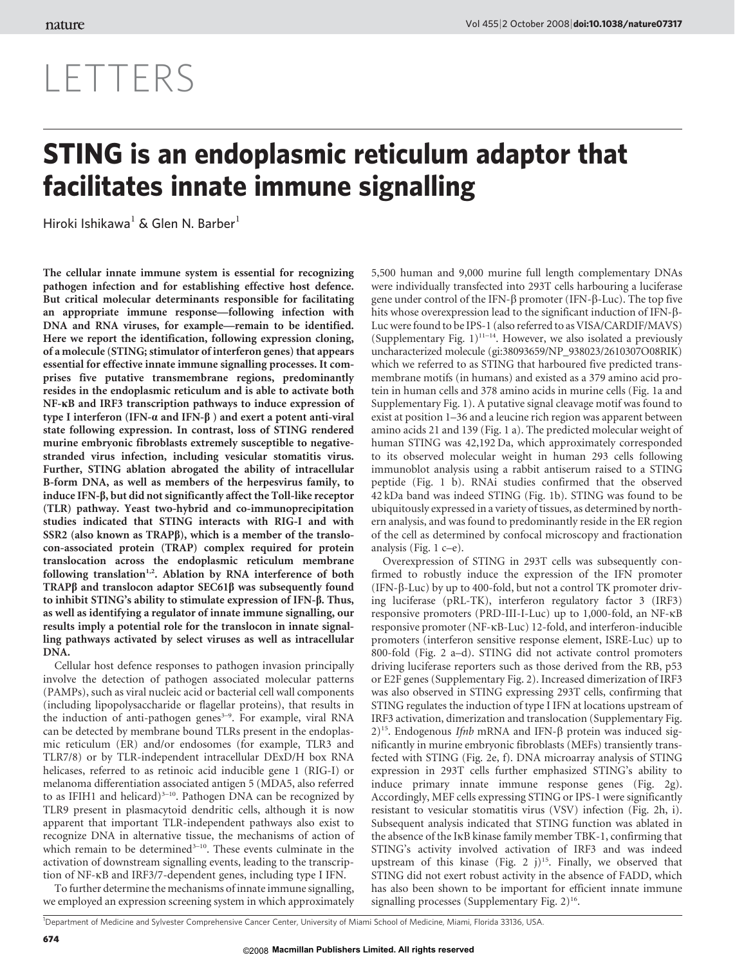# LETTERS

# STING is an endoplasmic reticulum adaptor that facilitates innate immune signalling

Hiroki Ishikawa<sup>1</sup> & Glen N. Barber<sup>1</sup>

The cellular innate immune system is essential for recognizing pathogen infection and for establishing effective host defence. But critical molecular determinants responsible for facilitating an appropriate immune response—following infection with DNA and RNA viruses, for example—remain to be identified. Here we report the identification, following expression cloning, of a molecule (STING; stimulator of interferon genes) that appears essential for effective innate immune signalling processes. It comprises five putative transmembrane regions, predominantly resides in the endoplasmic reticulum and is able to activate both NF-kB and IRF3 transcription pathways to induce expression of type I interferon (IFN- $\alpha$  and IFN- $\beta$ ) and exert a potent anti-viral state following expression. In contrast, loss of STING rendered murine embryonic fibroblasts extremely susceptible to negativestranded virus infection, including vesicular stomatitis virus. Further, STING ablation abrogated the ability of intracellular B-form DNA, as well as members of the herpesvirus family, to induce IFN-b, but did not significantly affect the Toll-like receptor (TLR) pathway. Yeast two-hybrid and co-immunoprecipitation studies indicated that STING interacts with RIG-I and with SSR2 (also known as TRAPB), which is a member of the translocon-associated protein (TRAP) complex required for protein translocation across the endoplasmic reticulum membrane following translation<sup>1,2</sup>. Ablation by RNA interference of both TRAP $\beta$  and translocon adaptor SEC61 $\beta$  was subsequently found to inhibit STING's ability to stimulate expression of IFN-b. Thus, as well as identifying a regulator of innate immune signalling, our results imply a potential role for the translocon in innate signalling pathways activated by select viruses as well as intracellular DNA.

Cellular host defence responses to pathogen invasion principally involve the detection of pathogen associated molecular patterns (PAMPs), such as viral nucleic acid or bacterial cell wall components (including lipopolysaccharide or flagellar proteins), that results in the induction of anti-pathogen genes<sup>3-9</sup>. For example, viral RNA can be detected by membrane bound TLRs present in the endoplasmic reticulum (ER) and/or endosomes (for example, TLR3 and TLR7/8) or by TLR-independent intracellular DExD/H box RNA helicases, referred to as retinoic acid inducible gene 1 (RIG-I) or melanoma differentiation associated antigen 5 (MDA5, also referred to as IFIH1 and helicard) $3-10$ . Pathogen DNA can be recognized by TLR9 present in plasmacytoid dendritic cells, although it is now apparent that important TLR-independent pathways also exist to recognize DNA in alternative tissue, the mechanisms of action of which remain to be determined<sup>3-10</sup>. These events culminate in the activation of downstream signalling events, leading to the transcription of NF-kB and IRF3/7-dependent genes, including type I IFN.

To further determine the mechanisms of innate immune signalling, we employed an expression screening system in which approximately 5,500 human and 9,000 murine full length complementary DNAs were individually transfected into 293T cells harbouring a luciferase gene under control of the IFN- $\beta$  promoter (IFN- $\beta$ -Luc). The top five hits whose overexpression lead to the significant induction of IFN-b-Luc were found to be IPS-1 (also referred to as VISA/CARDIF/MAVS) (Supplementary Fig.  $1$ )<sup>11-14</sup>. However, we also isolated a previously uncharacterized molecule (gi:38093659/NP\_938023/2610307O08RIK) which we referred to as STING that harboured five predicted transmembrane motifs (in humans) and existed as a 379 amino acid protein in human cells and 378 amino acids in murine cells (Fig. 1a and Supplementary Fig. 1). A putative signal cleavage motif was found to exist at position 1–36 and a leucine rich region was apparent between amino acids 21 and 139 (Fig. 1 a). The predicted molecular weight of human STING was 42,192 Da, which approximately corresponded to its observed molecular weight in human 293 cells following immunoblot analysis using a rabbit antiserum raised to a STING peptide (Fig. 1 b). RNAi studies confirmed that the observed 42 kDa band was indeed STING (Fig. 1b). STING was found to be ubiquitously expressed in a variety of tissues, as determined by northern analysis, and was found to predominantly reside in the ER region of the cell as determined by confocal microscopy and fractionation analysis (Fig. 1 c–e).

Overexpression of STING in 293T cells was subsequently confirmed to robustly induce the expression of the IFN promoter (IFN- $\beta$ -Luc) by up to 400-fold, but not a control TK promoter driving luciferase (pRL-TK), interferon regulatory factor 3 (IRF3) responsive promoters (PRD-III-I-Luc) up to 1,000-fold, an NF-kB responsive promoter (NF-kB-Luc) 12-fold, and interferon-inducible promoters (interferon sensitive response element, ISRE-Luc) up to 800-fold (Fig. 2 a–d). STING did not activate control promoters driving luciferase reporters such as those derived from the RB, p53 or E2F genes (Supplementary Fig. 2). Increased dimerization of IRF3 was also observed in STING expressing 293T cells, confirming that STING regulates the induction of type I IFN at locations upstream of IRF3 activation, dimerization and translocation (Supplementary Fig. 2)<sup>15</sup>. Endogenous *Ifnb* mRNA and IFN- $\beta$  protein was induced significantly in murine embryonic fibroblasts (MEFs) transiently transfected with STING (Fig. 2e, f). DNA microarray analysis of STING expression in 293T cells further emphasized STING's ability to induce primary innate immune response genes (Fig. 2g). Accordingly, MEF cells expressing STING or IPS-1 were significantly resistant to vesicular stomatitis virus (VSV) infection (Fig. 2h, i). Subsequent analysis indicated that STING function was ablated in the absence of the IkB kinase family member TBK-1, confirming that STING's activity involved activation of IRF3 and was indeed upstream of this kinase (Fig. 2 j)<sup>15</sup>. Finally, we observed that STING did not exert robust activity in the absence of FADD, which has also been shown to be important for efficient innate immune signalling processes (Supplementary Fig.  $2)^{16}$ .

<sup>1</sup>Department of Medicine and Sylvester Comprehensive Cancer Center, University of Miami School of Medicine, Miami, Florida 33136, USA.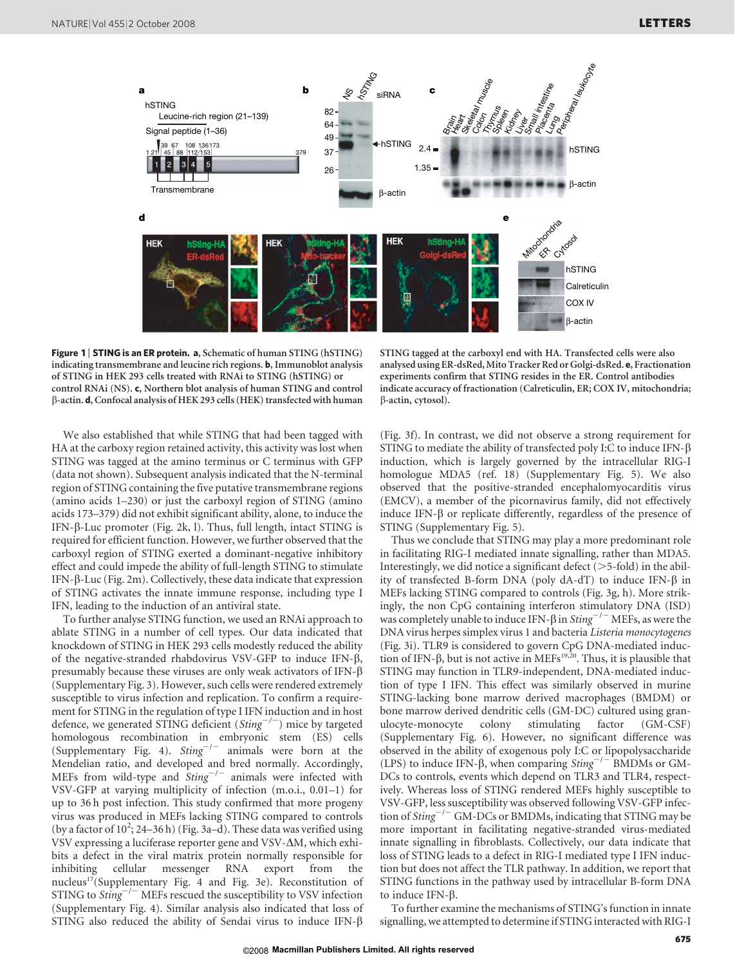

Figure 1 | STING is an ER protein. a, Schematic of human STING (hSTING) indicating transmembrane and leucine rich regions. b, Immunoblot analysis of STING in HEK 293 cells treated with RNAi to STING (hSTING) or control RNAi (NS). c, Northern blot analysis of human STING and control  $\beta$ -actin. d, Confocal analysis of HEK 293 cells (HEK) transfected with human

STING tagged at the carboxyl end with HA. Transfected cells were also analysed using ER-dsRed, Mito Tracker Red or Golgi-dsRed. e, Fractionation experiments confirm that STING resides in the ER. Control antibodies indicate accuracy of fractionation (Calreticulin, ER; COX IV, mitochondria; b-actin, cytosol).

We also established that while STING that had been tagged with HA at the carboxy region retained activity, this activity was lost when STING was tagged at the amino terminus or C terminus with GFP (data not shown). Subsequent analysis indicated that the N-terminal region of STING containing the five putative transmembrane regions (amino acids 1–230) or just the carboxyl region of STING (amino acids 173–379) did not exhibit significant ability, alone, to induce the IFN- $\beta$ -Luc promoter (Fig. 2k, l). Thus, full length, intact STING is required for efficient function. However, we further observed that the carboxyl region of STING exerted a dominant-negative inhibitory effect and could impede the ability of full-length STING to stimulate IFN-b-Luc (Fig. 2m). Collectively, these data indicate that expression of STING activates the innate immune response, including type I IFN, leading to the induction of an antiviral state.

To further analyse STING function, we used an RNAi approach to ablate STING in a number of cell types. Our data indicated that knockdown of STING in HEK 293 cells modestly reduced the ability of the negative-stranded rhabdovirus VSV-GFP to induce IFN-b, presumably because these viruses are only weak activators of IFN- $\beta$ (Supplementary Fig. 3). However, such cells were rendered extremely susceptible to virus infection and replication. To confirm a requirement for STING in the regulation of type I IFN induction and in host defence, we generated STING deficient  $(String<sup>-/-</sup>)$  mice by targeted homologous recombination in embryonic stem (ES) cells (Supplementary Fig. 4).  $Sting^{-/-}$  animals were born at the Mendelian ratio, and developed and bred normally. Accordingly, MEFs from wild-type and  $Sting^{-/-}$  animals were infected with VSV-GFP at varying multiplicity of infection (m.o.i., 0.01–1) for up to 36 h post infection. This study confirmed that more progeny virus was produced in MEFs lacking STING compared to controls (by a factor of  $10^2$ ; 24-36 h) (Fig. 3a-d). These data was verified using VSV expressing a luciferase reporter gene and VSV- $\Delta M$ , which exhibits a defect in the viral matrix protein normally responsible for inhibiting cellular messenger RNA export from the nucleus<sup>17</sup>(Supplementary Fig. 4 and Fig. 3e). Reconstitution of STING to  $Sting^{-/-}$  MEFs rescued the susceptibility to VSV infection (Supplementary Fig. 4). Similar analysis also indicated that loss of STING also reduced the ability of Sendai virus to induce IFN- $\beta$ 

(Fig. 3f). In contrast, we did not observe a strong requirement for STING to mediate the ability of transfected poly I:C to induce IFN- $\beta$ induction, which is largely governed by the intracellular RIG-I homologue MDA5 (ref. 18) (Supplementary Fig. 5). We also observed that the positive-stranded encephalomyocarditis virus (EMCV), a member of the picornavirus family, did not effectively induce IFN- $\beta$  or replicate differently, regardless of the presence of STING (Supplementary Fig. 5).

Thus we conclude that STING may play a more predominant role in facilitating RIG-I mediated innate signalling, rather than MDA5. Interestingly, we did notice a significant defect  $(>=5$ -fold) in the ability of transfected B-form DNA (poly  $dA-dT$ ) to induce IFN- $\beta$  in MEFs lacking STING compared to controls (Fig. 3g, h). More strikingly, the non CpG containing interferon stimulatory DNA (ISD) was completely unable to induce IFN- $\beta$  in *Sting*<sup>-/-</sup> MEFs, as were the DNA virus herpes simplex virus 1 and bacteria Listeria monocytogenes (Fig. 3i). TLR9 is considered to govern CpG DNA-mediated induction of IFN- $\beta$ , but is not active in MEFs<sup>19,20</sup>. Thus, it is plausible that STING may function in TLR9-independent, DNA-mediated induction of type I IFN. This effect was similarly observed in murine STING-lacking bone marrow derived macrophages (BMDM) or bone marrow derived dendritic cells (GM-DC) cultured using granulocyte-monocyte colony stimulating factor (GM-CSF) (Supplementary Fig. 6). However, no significant difference was observed in the ability of exogenous poly I:C or lipopolysaccharide (LPS) to induce IFN- $\beta$ , when comparing Sting<sup>-/-</sup> BMDMs or GM-DCs to controls, events which depend on TLR3 and TLR4, respectively. Whereas loss of STING rendered MEFs highly susceptible to VSV-GFP, less susceptibility was observed following VSV-GFP infection of  $String^{-/-}$  GM-DCs or BMDMs, indicating that STING may be more important in facilitating negative-stranded virus-mediated innate signalling in fibroblasts. Collectively, our data indicate that loss of STING leads to a defect in RIG-I mediated type I IFN induction but does not affect the TLR pathway. In addition, we report that STING functions in the pathway used by intracellular B-form DNA to induce IFN- $\beta$ .

To further examine the mechanisms of STING's function in innate signalling, we attempted to determine if STING interacted with RIG-I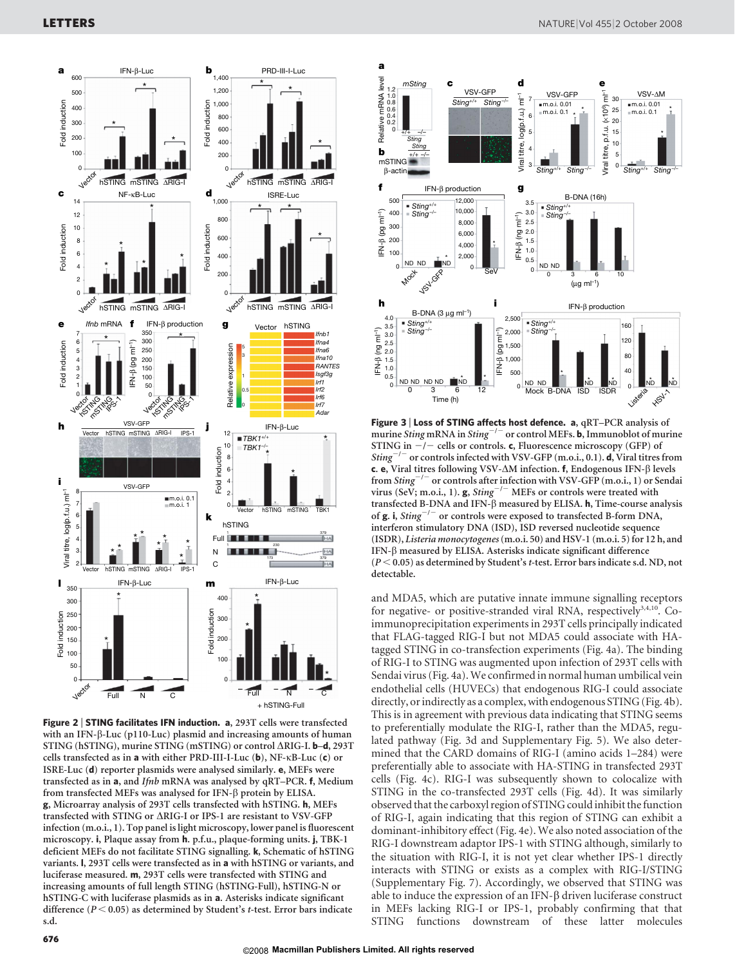

Figure 2 | STING facilitates IFN induction. a, 293T cells were transfected with an IFN- $\beta$ -Luc (p110-Luc) plasmid and increasing amounts of human STING (hSTING), murine STING (mSTING) or control  $\triangle RIG-I$ . **b–d**, 293T cells transfected as in a with either PRD-III-I-Luc (b), NF-kB-Luc (c) or ISRE-Luc (d) reporter plasmids were analysed similarly. e, MEFs were transfected as in a, and Ifnb mRNA was analysed by qRT–PCR. f, Medium from transfected MEFs was analysed for IFN-b protein by ELISA. g, Microarray analysis of 293T cells transfected with hSTING. h, MEFs transfected with STING or  $\Delta$ RIG-I or IPS-1 are resistant to VSV-GFP infection (m.o.i., 1). Top panel is light microscopy, lower panel is fluorescent microscopy. i, Plaque assay from h. p.f.u., plaque-forming units. j, TBK-1 deficient MEFs do not facilitate STING signalling. k, Schematic of hSTING variants. l, 293T cells were transfected as in a with hSTING or variants, and luciferase measured. m, 293T cells were transfected with STING and increasing amounts of full length STING (hSTING-Full), hSTING-N or hSTING-C with luciferase plasmids as in a. Asterisks indicate significant difference ( $P < 0.05$ ) as determined by Student's t-test. Error bars indicate s.d.



Figure 3 | Loss of STING affects host defence. a, qRT-PCR analysis of murine Sting mRNA in Sting<sup>-/-</sup> or control MEFs. **b**, Immunoblot of murine STING in  $-/-$  cells or controls. c, Fluorescence microscopy (GFP) of Sting<sup>-/-</sup> or controls infected with VSV-GFP (m.o.i., 0.1). **d**, Viral titres from c. e, Viral titres following VSV- $\Delta M$  infection. f, Endogenous IFN- $\beta$  levels from Sting<sup>-/-</sup> or controls after infection with VSV-GFP (m.o.i., 1) or Sendai virus (SeV; m.o.i., 1).  $g$ , *Sting*<sup>-/-</sup> MEFs or controls were treated with transfected B-DNA and IFN- $\beta$  measured by ELISA. h, Time-course analysis of  $g.$  i, Sting<sup>-/-</sup> or controls were exposed to transfected B-form DNA, interferon stimulatory DNA (ISD), ISD reversed nucleotide sequence (ISDR), Listeria monocytogenes(m.o.i. 50) and HSV-1 (m.o.i. 5) for 12 h, and IFN-b measured by ELISA. Asterisks indicate significant difference  $(P < 0.05)$  as determined by Student's t-test. Error bars indicate s.d. ND, not detectable.

and MDA5, which are putative innate immune signalling receptors for negative- or positive-stranded viral RNA, respectively<sup>3,4,10</sup>. Coimmunoprecipitation experiments in 293T cells principally indicated that FLAG-tagged RIG-I but not MDA5 could associate with HAtagged STING in co-transfection experiments (Fig. 4a). The binding of RIG-I to STING was augmented upon infection of 293T cells with Sendai virus (Fig. 4a).We confirmed in normal human umbilical vein endothelial cells (HUVECs) that endogenous RIG-I could associate directly, or indirectly as a complex, with endogenous STING (Fig. 4b). This is in agreement with previous data indicating that STING seems to preferentially modulate the RIG-I, rather than the MDA5, regulated pathway (Fig. 3d and Supplementary Fig. 5). We also determined that the CARD domains of RIG-I (amino acids 1–284) were preferentially able to associate with HA-STING in transfected 293T cells (Fig. 4c). RIG-I was subsequently shown to colocalize with STING in the co-transfected 293T cells (Fig. 4d). It was similarly observed that the carboxyl region of STING could inhibit the function of RIG-I, again indicating that this region of STING can exhibit a dominant-inhibitory effect (Fig. 4e). We also noted association of the RIG-I downstream adaptor IPS-1 with STING although, similarly to the situation with RIG-I, it is not yet clear whether IPS-1 directly interacts with STING or exists as a complex with RIG-I/STING (Supplementary Fig. 7). Accordingly, we observed that STING was able to induce the expression of an IFN- $\beta$  driven luciferase construct in MEFs lacking RIG-I or IPS-1, probably confirming that that STING functions downstream of these latter molecules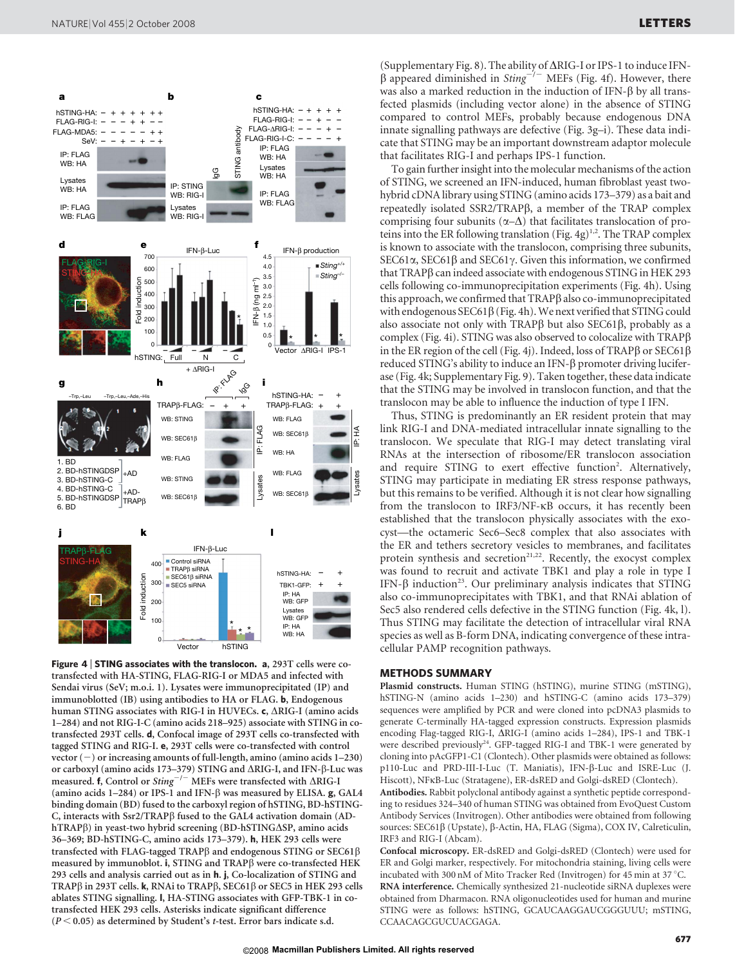

**Figure 4 | STING associates with the translocon. a,** 293T cells were cotransfected with HA-STING, FLAG-RIG-I or MDA5 and infected with Sendai virus (SeV; m.o.i. 1). Lysates were immunoprecipitated (IP) and immunoblotted (IB) using antibodies to HA or FLAG. b, Endogenous human STING associates with RIG-I in HUVECs. c, ARIG-I (amino acids 1–284) and not RIG-I-C (amino acids 218–925) associate with STING in cotransfected 293T cells. d, Confocal image of 293T cells co-transfected with tagged STING and RIG-I. e, 293T cells were co-transfected with control vector  $(-)$  or increasing amounts of full-length, amino (amino acids 1–230) or carboxyl (amino acids 173–379) STING and  $\triangle$ RIG-I, and IFN- $\beta$ -Luc was measured. f, Control or Sting<sup>-/-</sup> MEFs were transfected with  $\triangle$ RIG-I (amino acids 1–284) or IPS-1 and IFN- $\beta$  was measured by ELISA. g, GAL4 binding domain (BD) fused to the carboxyl region of hSTING, BD-hSTING-C, interacts with Ssr2/TRAPß fused to the GAL4 activation domain (ADhTRAPß) in yeast-two hybrid screening (BD-hSTING $\Delta$ SP, amino acids 36–369; BD-hSTING-C, amino acids 173–379). h, HEK 293 cells were transfected with FLAG-tagged TRAP $\beta$  and endogenous STING or SEC61 $\beta$ measured by immunoblot. i, STING and TRAPß were co-transfected HEK 293 cells and analysis carried out as in h. j, Co-localization of STING and TRAP $\beta$  in 293T cells. k, RNAi to TRAP $\beta$ , SEC61 $\beta$  or SEC5 in HEK 293 cells ablates STING signalling. l, HA-STING associates with GFP-TBK-1 in cotransfected HEK 293 cells. Asterisks indicate significant difference  $(P < 0.05)$  as determined by Student's t-test. Error bars indicate s.d.

(Supplementary Fig. 8). The ability of  $\Delta RIG$ -I or IPS-1 to induce IFN- $\beta$  appeared diminished in Sting<sup>-/-</sup> MEFs (Fig. 4f). However, there was also a marked reduction in the induction of IFN- $\beta$  by all transfected plasmids (including vector alone) in the absence of STING compared to control MEFs, probably because endogenous DNA innate signalling pathways are defective (Fig. 3g–i). These data indicate that STING may be an important downstream adaptor molecule that facilitates RIG-I and perhaps IPS-1 function.

To gain further insight into the molecular mechanisms of the action of STING, we screened an IFN-induced, human fibroblast yeast twohybrid cDNA library using STING (amino acids 173–379) as a bait and repeatedly isolated SSR2/TRAPβ, a member of the TRAP complex comprising four subunits  $(\alpha-\Delta)$  that facilitates translocation of proteins into the ER following translation (Fig. 4g)<sup>1,2</sup>. The TRAP complex is known to associate with the translocon, comprising three subunits, SEC61 $\alpha$ , SEC61 $\beta$  and SEC61 $\gamma$ . Given this information, we confirmed that TRAPß can indeed associate with endogenous STING in HEK 293 cells following co-immunoprecipitation experiments (Fig. 4h). Using this approach, we confirmed that TRAP<sub>B</sub> also co-immunoprecipitated with endogenous  $SEC61\beta$  (Fig. 4h). We next verified that STING could also associate not only with  $TRAP\beta$  but also  $SEC61\beta$ , probably as a complex (Fig. 4i). STING was also observed to colocalize with  $TRAP\beta$ in the ER region of the cell (Fig. 4j). Indeed, loss of TRAP $\beta$  or SEC61 $\beta$ reduced STING's ability to induce an IFN- $\beta$  promoter driving luciferase (Fig. 4k; Supplementary Fig. 9). Taken together, these data indicate that the STING may be involved in translocon function, and that the translocon may be able to influence the induction of type I IFN.

Thus, STING is predominantly an ER resident protein that may link RIG-I and DNA-mediated intracellular innate signalling to the translocon. We speculate that RIG-I may detect translating viral RNAs at the intersection of ribosome/ER translocon association and require STING to exert effective function<sup>2</sup>. Alternatively, STING may participate in mediating ER stress response pathways, but this remains to be verified. Although it is not clear how signalling from the translocon to IRF3/NF-kB occurs, it has recently been established that the translocon physically associates with the exocyst—the octameric Sec6–Sec8 complex that also associates with the ER and tethers secretory vesicles to membranes, and facilitates protein synthesis and secretion<sup>21,22</sup>. Recently, the exocyst complex was found to recruit and activate TBK1 and play a role in type I IFN- $\beta$  induction<sup>23</sup>. Our preliminary analysis indicates that STING also co-immunoprecipitates with TBK1, and that RNAi ablation of Sec5 also rendered cells defective in the STING function (Fig. 4k, l). Thus STING may facilitate the detection of intracellular viral RNA species as well as B-form DNA, indicating convergence of these intracellular PAMP recognition pathways.

#### METHODS SUMMARY

Plasmid constructs. Human STING (hSTING), murine STING (mSTING), hSTING-N (amino acids 1–230) and hSTING-C (amino acids 173–379) sequences were amplified by PCR and were cloned into pcDNA3 plasmids to generate C-terminally HA-tagged expression constructs. Expression plasmids encoding Flag-tagged RIG-I,  $\Delta$ RIG-I (amino acids 1–284), IPS-1 and TBK-1 were described previously<sup>24</sup>. GFP-tagged RIG-I and TBK-1 were generated by cloning into pAcGFP1-C1 (Clontech). Other plasmids were obtained as follows: p110-Luc and PRD-III-I-Luc (T. Maniatis), IFN-b-Luc and ISRE-Luc (J. Hiscott), NFkB-Luc (Stratagene), ER-dsRED and Golgi-dsRED (Clontech).

Antibodies. Rabbit polyclonal antibody against a synthetic peptide corresponding to residues 324–340 of human STING was obtained from EvoQuest Custom Antibody Services (Invitrogen). Other antibodies were obtained from following sources: SEC61β (Upstate), β-Actin, HA, FLAG (Sigma), COX IV, Calreticulin, IRF3 and RIG-I (Abcam).

Confocal microscopy. ER-dsRED and Golgi-dsRED (Clontech) were used for ER and Golgi marker, respectively. For mitochondria staining, living cells were incubated with 300 nM of Mito Tracker Red (Invitrogen) for 45 min at 37 °C. RNA interference. Chemically synthesized 21-nucleotide siRNA duplexes were obtained from Dharmacon. RNA oligonucleotides used for human and murine STING were as follows: hSTING, GCAUCAAGGAUCGGGUUU; mSTING, CCAACAGCGUCUACGAGA.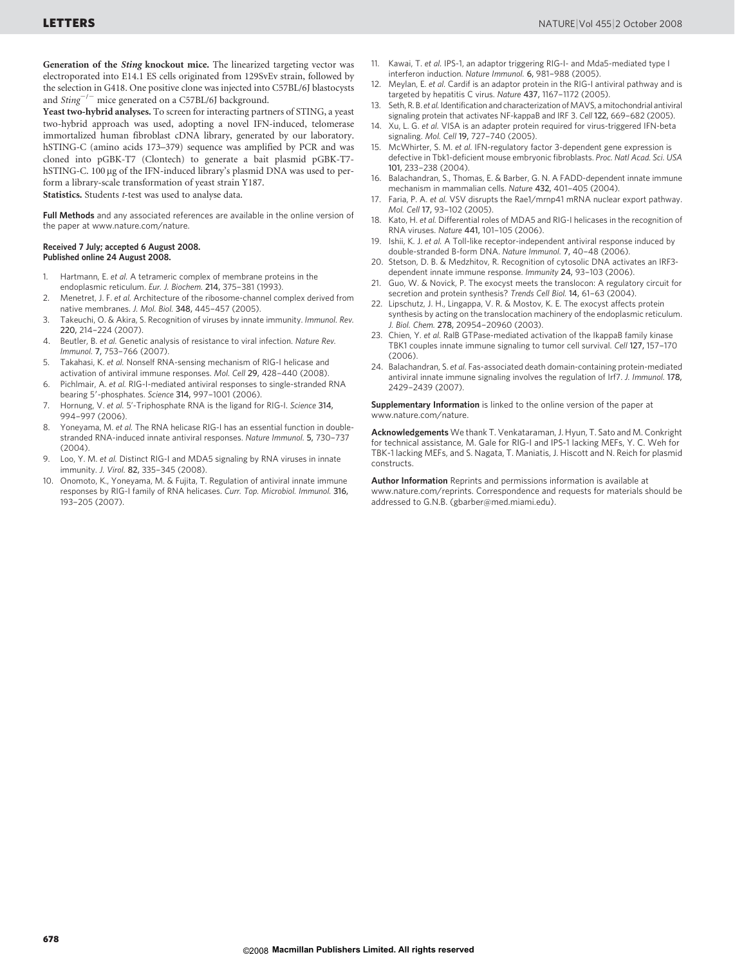Generation of the Sting knockout mice. The linearized targeting vector was electroporated into E14.1 ES cells originated from 129SvEv strain, followed by the selection in G418. One positive clone was injected into C57BL/6J blastocysts and  $Sting^{-/-}$  mice generated on a C57BL/6J background.

Yeast two-hybrid analyses. To screen for interacting partners of STING, a yeast two-hybrid approach was used, adopting a novel IFN-induced, telomerase immortalized human fibroblast cDNA library, generated by our laboratory. hSTING-C (amino acids 173–379) sequence was amplified by PCR and was cloned into pGBK-T7 (Clontech) to generate a bait plasmid pGBK-T7 hSTING-C. 100 µg of the IFN-induced library's plasmid DNA was used to perform a library-scale transformation of yeast strain Y187.

Statistics. Students *t*-test was used to analyse data.

Full Methods and any associated references are available in the online version of the paper at<www.nature.com/nature>.

#### Received 7 July; accepted 6 August 2008. Published online 24 August 2008.

- 1. Hartmann, E. et al. A tetrameric complex of membrane proteins in the endoplasmic reticulum. Eur. J. Biochem. 214, 375–381 (1993).
- 2. Menetret, J. F. et al. Architecture of the ribosome-channel complex derived from native membranes. J. Mol. Biol. 348, 445–457 (2005).
- 3. Takeuchi, O. & Akira, S. Recognition of viruses by innate immunity. Immunol. Rev. 220, 214–224 (2007).
- 4. Beutler, B. et al. Genetic analysis of resistance to viral infection. Nature Rev. Immunol. 7, 753–766 (2007).
- 5. Takahasi, K. et al. Nonself RNA-sensing mechanism of RIG-I helicase and activation of antiviral immune responses. Mol. Cell 29, 428–440 (2008).
- 6. Pichlmair, A. et al. RIG-I-mediated antiviral responses to single-stranded RNA bearing 5'-phosphates. Science 314, 997-1001 (2006).
- 7. Hornung, V. et al. 5'-Triphosphate RNA is the ligand for RIG-I. Science 314, 994–997 (2006).
- 8. Yoneyama, M. et al. The RNA helicase RIG-I has an essential function in doublestranded RNA-induced innate antiviral responses. Nature Immunol. 5, 730–737 (2004).
- 9. Loo, Y. M. et al. Distinct RIG-I and MDA5 signaling by RNA viruses in innate immunity. J. Virol. 82, 335–345 (2008).
- 10. Onomoto, K., Yoneyama, M. & Fujita, T. Regulation of antiviral innate immune responses by RIG-I family of RNA helicases. Curr. Top. Microbiol. Immunol. 316, 193–205 (2007).
- 11. Kawai, T. et al. IPS-1, an adaptor triggering RIG-I- and Mda5-mediated type I interferon induction. Nature Immunol. 6, 981–988 (2005).
- Meylan, E. et al. Cardif is an adaptor protein in the RIG-I antiviral pathway and is targeted by hepatitis C virus. Nature 437, 1167–1172 (2005).
- 13. Seth, R. B. et al. Identification and characterization of MAVS, a mitochondrial antiviral signaling protein that activates NF-kappaB and IRF 3. Cell 122, 669-682 (2005).
- 14. Xu, L. G. et al. VISA is an adapter protein required for virus-triggered IFN-beta signaling. Mol. Cell 19, 727–740 (2005).
- 15. McWhirter, S. M. et al. IFN-regulatory factor 3-dependent gene expression is defective in Tbk1-deficient mouse embryonic fibroblasts. Proc. Natl Acad. Sci. USA 101, 233–238 (2004).
- 16. Balachandran, S., Thomas, E. & Barber, G. N. A FADD-dependent innate immune mechanism in mammalian cells. Nature 432, 401–405 (2004).
- 17. Faria, P. A. et al. VSV disrupts the Rae1/mrnp41 mRNA nuclear export pathway. Mol. Cell 17, 93–102 (2005).
- 18. Kato, H. et al. Differential roles of MDA5 and RIG-I helicases in the recognition of RNA viruses. Nature 441, 101–105 (2006).
- 19. Ishii, K. J. et al. A Toll-like receptor-independent antiviral response induced by double-stranded B-form DNA. Nature Immunol. 7, 40–48 (2006).
- 20. Stetson, D. B. & Medzhitov, R. Recognition of cytosolic DNA activates an IRF3 dependent innate immune response. Immunity 24, 93–103 (2006).
- 21. Guo, W. & Novick, P. The exocyst meets the translocon: A regulatory circuit for secretion and protein synthesis? Trends Cell Biol. 14, 61–63 (2004).
- 22. Lipschutz, J. H., Lingappa, V. R. & Mostov, K. E. The exocyst affects protein synthesis by acting on the translocation machinery of the endoplasmic reticulum. J. Biol. Chem. 278, 20954–20960 (2003).
- 23. Chien, Y. et al. RalB GTPase-mediated activation of the IkappaB family kinase TBK1 couples innate immune signaling to tumor cell survival. Cell 127, 157–170 (2006).
- 24. Balachandran, S. et al. Fas-associated death domain-containing protein-mediated antiviral innate immune signaling involves the regulation of Irf7. J. Immunol. 178, 2429–2439 (2007).

Supplementary Information is linked to the online version of the paper at <www.nature.com/nature>.

Acknowledgements We thank T. Venkataraman, J. Hyun, T. Sato and M. Conkright for technical assistance, M. Gale for RIG-I and IPS-1 lacking MEFs, Y. C. Weh for TBK-1 lacking MEFs, and S. Nagata, T. Maniatis, J. Hiscott and N. Reich for plasmid constructs.

Author Information Reprints and permissions information is available at <www.nature.com/reprints>. Correspondence and requests for materials should be addressed to G.N.B. [\(gbarber@med.miami.edu\)](mailto:gbarber@med.miami.edu).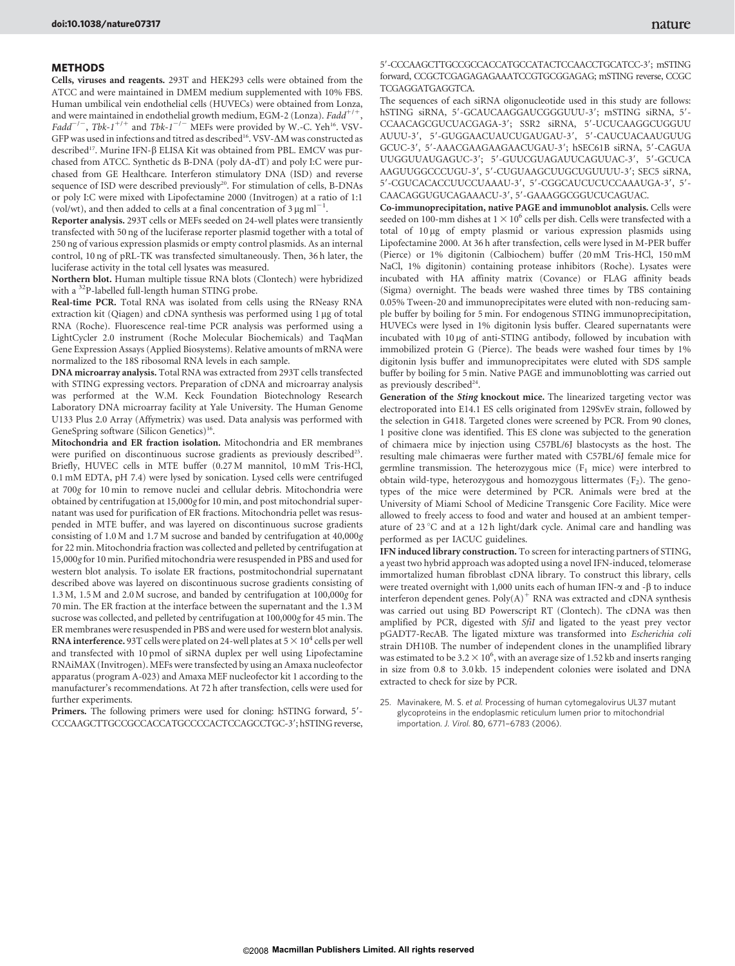Cells, viruses and reagents. 293T and HEK293 cells were obtained from the ATCC and were maintained in DMEM medium supplemented with 10% FBS. Human umbilical vein endothelial cells (HUVECs) were obtained from Lonza, and were maintained in endothelial growth medium, EGM-2 (Lonza). Fadd<sup>+/+</sup>,  $Fadd^{-/-}$ , Tbk-1<sup>+/+</sup> and Tbk-1<sup>-/-</sup> MEFs were provided by W.-C. Yeh<sup>16</sup>. VSV-GFP was used in infections and titred as described<sup>16</sup>. VSV- $\Delta M$  was constructed as described<sup>17</sup>. Murine IFN-β ELISA Kit was obtained from PBL. EMCV was purchased from ATCC. Synthetic ds B-DNA (poly dA-dT) and poly I:C were purchased from GE Healthcare. Interferon stimulatory DNA (ISD) and reverse sequence of ISD were described previously<sup>20</sup>. For stimulation of cells, B-DNAs or poly I:C were mixed with Lipofectamine 2000 (Invitrogen) at a ratio of 1:1 (vol/wt), and then added to cells at a final concentration of  $3 \mu g \text{ ml}^{-1}$ .

Reporter analysis. 293T cells or MEFs seeded on 24-well plates were transiently transfected with 50 ng of the luciferase reporter plasmid together with a total of 250 ng of various expression plasmids or empty control plasmids. As an internal control, 10 ng of pRL-TK was transfected simultaneously. Then, 36 h later, the luciferase activity in the total cell lysates was measured.

Northern blot. Human multiple tissue RNA blots (Clontech) were hybridized with a <sup>32</sup>P-labelled full-length human STING probe.

Real-time PCR. Total RNA was isolated from cells using the RNeasy RNA extraction kit (Qiagen) and cDNA synthesis was performed using 1 µg of total RNA (Roche). Fluorescence real-time PCR analysis was performed using a LightCycler 2.0 instrument (Roche Molecular Biochemicals) and TaqMan Gene Expression Assays (Applied Biosystems). Relative amounts of mRNA were normalized to the 18S ribosomal RNA levels in each sample.

DNA microarray analysis. Total RNA was extracted from 293T cells transfected with STING expressing vectors. Preparation of cDNA and microarray analysis was performed at the W.M. Keck Foundation Biotechnology Research Laboratory DNA microarray facility at Yale University. The Human Genome U133 Plus 2.0 Array (Affymetrix) was used. Data analysis was performed with GeneSpring software (Silicon Genetics)<sup>16</sup>.

Mitochondria and ER fraction isolation. Mitochondria and ER membranes were purified on discontinuous sucrose gradients as previously described<sup>25</sup>. Briefly, HUVEC cells in MTE buffer (0.27 M mannitol, 10 mM Tris-HCl, 0.1 mM EDTA, pH 7.4) were lysed by sonication. Lysed cells were centrifuged at 700g for 10 min to remove nuclei and cellular debris. Mitochondria were obtained by centrifugation at 15,000g for 10 min, and post mitochondrial supernatant was used for purification of ER fractions. Mitochondria pellet was resuspended in MTE buffer, and was layered on discontinuous sucrose gradients consisting of 1.0 M and 1.7 M sucrose and banded by centrifugation at 40,000g for 22 min. Mitochondria fraction was collected and pelleted by centrifugation at 15,000g for 10 min. Purified mitochondria were resuspended in PBS and used for western blot analysis. To isolate ER fractions, postmitochondrial supernatant described above was layered on discontinuous sucrose gradients consisting of 1.3 M, 1.5 M and 2.0 M sucrose, and banded by centrifugation at 100,000g for 70 min. The ER fraction at the interface between the supernatant and the 1.3 M sucrose was collected, and pelleted by centrifugation at 100,000g for 45 min. The ER membranes were resuspended in PBS and were used for western blot analysis. **RNA interference.** 93T cells were plated on 24-well plates at  $5 \times 10^4$  cells per well and transfected with 10 pmol of siRNA duplex per well using Lipofectamine RNAiMAX (Invitrogen). MEFs were transfected by using an Amaxa nucleofector apparatus (program A-023) and Amaxa MEF nucleofector kit 1 according to the manufacturer's recommendations. At 72 h after transfection, cells were used for further experiments.

Primers. The following primers were used for cloning: hSTING forward, 5'-CCCAAGCTTGCCGCCACCATGCCCCACTCCAGCCTGC-3'; hSTING reverse,

#### 5'-CCCAAGCTTGCCGCCACCATGCCATACTCCAACCTGCATCC-3': mSTING forward, CCGCTCGAGAGAGAAATCCGTGCGGAGAG; mSTING reverse, CCGC TCGAGGATGAGGTCA.

The sequences of each siRNA oligonucleotide used in this study are follows: hSTING siRNA, 5'-GCAUCAAGGAUCGGGUUU-3'; mSTING siRNA, 5'-CCAACAGCGUCUACGAGA-3'; SSR2 siRNA, 5'-UCUCAAGGCUGGUU AUUU-3', 5'-GUGGAACUAUCUGAUGAU-3', 5'-CAUCUACAAUGUUG GCUC-3', 5'-AAACGAAGAAGAACUGAU-3'; hSEC61B siRNA, 5'-CAGUA UUGGUUAUGAGUC-3'; 5'-GUUCGUAGAUUCAGUUAC-3', 5'-GCUCA AAGUUGGCCCUGU-3', 5'-CUGUAAGCUUGCUGUUUU-3'; SEC5 siRNA, 5'-CGUCACACCUUCCUAAAU-3', 5'-CGGCAUCUCUCCAAAUGA-3', 5'-CAACAGGUGUCAGAAACU-3', 5'-GAAAGGCGGUCUCAGUAC.

Co-immunoprecipitation, native PAGE and immunoblot analysis. Cells were seeded on 100-mm dishes at  $1 \times 10^6$  cells per dish. Cells were transfected with a total of 10 mg of empty plasmid or various expression plasmids using Lipofectamine 2000. At 36 h after transfection, cells were lysed in M-PER buffer (Pierce) or 1% digitonin (Calbiochem) buffer (20 mM Tris-HCl, 150 mM NaCl, 1% digitonin) containing protease inhibitors (Roche). Lysates were incubated with HA affinity matrix (Covance) or FLAG affinity beads (Sigma) overnight. The beads were washed three times by TBS containing 0.05% Tween-20 and immunoprecipitates were eluted with non-reducing sample buffer by boiling for 5 min. For endogenous STING immunoprecipitation, HUVECs were lysed in 1% digitonin lysis buffer. Cleared supernatants were incubated with 10 µg of anti-STING antibody, followed by incubation with immobilized protein G (Pierce). The beads were washed four times by 1% digitonin lysis buffer and immunoprecipitates were eluted with SDS sample buffer by boiling for 5 min. Native PAGE and immunoblotting was carried out as previously described<sup>24</sup>.

Generation of the Sting knockout mice. The linearized targeting vector was electroporated into E14.1 ES cells originated from 129SvEv strain, followed by the selection in G418. Targeted clones were screened by PCR. From 90 clones, 1 positive clone was identified. This ES clone was subjected to the generation of chimaera mice by injection using C57BL/6J blastocysts as the host. The resulting male chimaeras were further mated with C57BL/6J female mice for germline transmission. The heterozygous mice  $(F_1 \text{ mice})$  were interbred to obtain wild-type, heterozygous and homozygous littermates  $(F_2)$ . The genotypes of the mice were determined by PCR. Animals were bred at the University of Miami School of Medicine Transgenic Core Facility. Mice were allowed to freely access to food and water and housed at an ambient temperature of 23 °C and at a 12 h light/dark cycle. Animal care and handling was performed as per IACUC guidelines.

IFN induced library construction. To screen for interacting partners of STING, a yeast two hybrid approach was adopted using a novel IFN-induced, telomerase immortalized human fibroblast cDNA library. To construct this library, cells were treated overnight with 1,000 units each of human IFN- $\alpha$  and - $\beta$  to induce interferon dependent genes.  $Poly(A)^+$  RNA was extracted and cDNA synthesis was carried out using BD Powerscript RT (Clontech). The cDNA was then amplified by PCR, digested with SfiI and ligated to the yeast prey vector pGADT7-RecAB. The ligated mixture was transformed into Escherichia coli strain DH10B. The number of independent clones in the unamplified library was estimated to be 3.2  $\times$  10<sup>6</sup>, with an average size of 1.52 kb and inserts ranging in size from 0.8 to 3.0 kb. 15 independent colonies were isolated and DNA extracted to check for size by PCR.

25. Mavinakere, M. S. et al. Processing of human cytomegalovirus UL37 mutant glycoproteins in the endoplasmic reticulum lumen prior to mitochondrial importation. J. Virol. 80, 6771–6783 (2006).